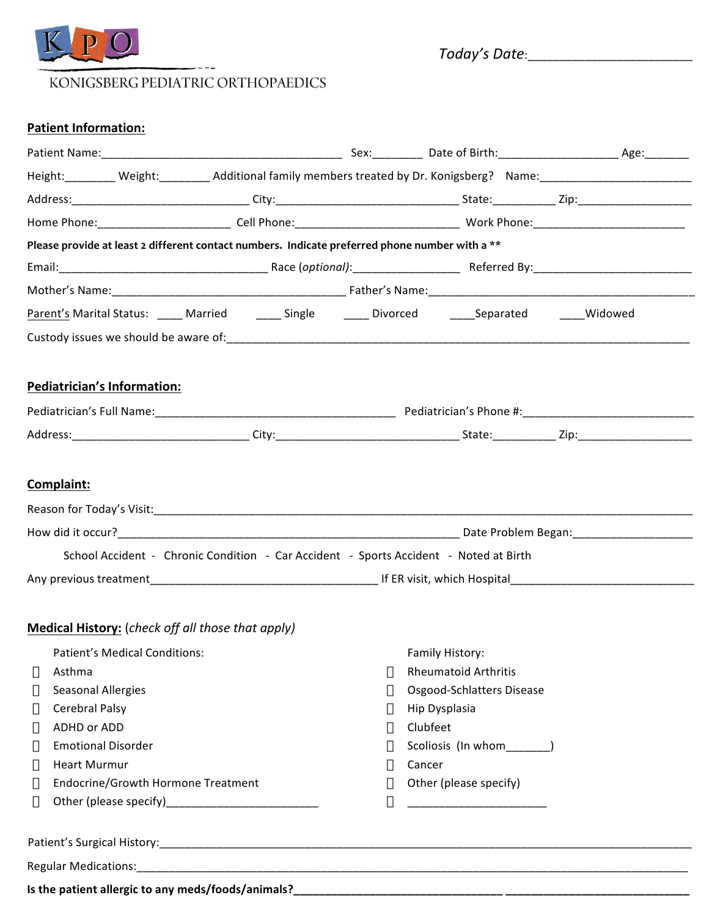

*Today's(Date*:\_\_\_\_\_\_\_\_\_\_\_\_\_\_\_\_\_\_\_\_\_\_\_\_\_\_!!!

# KONIGSBERG PEDIATRIC ORTHOPAEDICS

# **Patient Information:**

|                                                                                                              | Height: Weight: Weight: Additional family members treated by Dr. Konigsberg? Name: Wame: Weight: Weight: Weigh |  |
|--------------------------------------------------------------------------------------------------------------|----------------------------------------------------------------------------------------------------------------|--|
|                                                                                                              |                                                                                                                |  |
|                                                                                                              |                                                                                                                |  |
| Please provide at least 2 different contact numbers. Indicate preferred phone number with a **               |                                                                                                                |  |
|                                                                                                              |                                                                                                                |  |
|                                                                                                              |                                                                                                                |  |
| <u>Parent's</u> Marital Status: _____ Married _______ Single _______ Divorced _______Separated ______Widowed |                                                                                                                |  |
|                                                                                                              |                                                                                                                |  |
|                                                                                                              |                                                                                                                |  |
| <b>Pediatrician's Information:</b>                                                                           |                                                                                                                |  |
|                                                                                                              |                                                                                                                |  |
|                                                                                                              |                                                                                                                |  |
|                                                                                                              |                                                                                                                |  |
| Complaint:                                                                                                   |                                                                                                                |  |
|                                                                                                              |                                                                                                                |  |
|                                                                                                              |                                                                                                                |  |
| School Accident - Chronic Condition - Car Accident - Sports Accident - Noted at Birth                        |                                                                                                                |  |
|                                                                                                              |                                                                                                                |  |
|                                                                                                              |                                                                                                                |  |
| Medical History: (check off all those that apply)                                                            |                                                                                                                |  |
| Patient's Medical Conditions:                                                                                | Family History:                                                                                                |  |
| Asthma                                                                                                       | <b>Rheumatoid Arthritis</b>                                                                                    |  |
| <b>Seasonal Allergies</b>                                                                                    | Osgood-Schlatters Disease                                                                                      |  |
| Cerebral Palsy                                                                                               | Hip Dysplasia                                                                                                  |  |
| ADHD or ADD                                                                                                  | Clubfeet                                                                                                       |  |
| <b>Emotional Disorder</b>                                                                                    | Scoliosis (In whom______)                                                                                      |  |
| <b>Heart Murmur</b>                                                                                          | Cancer                                                                                                         |  |
| <b>Endocrine/Growth Hormone Treatment</b>                                                                    | Other (please specify)                                                                                         |  |
|                                                                                                              |                                                                                                                |  |
|                                                                                                              |                                                                                                                |  |
|                                                                                                              |                                                                                                                |  |
|                                                                                                              |                                                                                                                |  |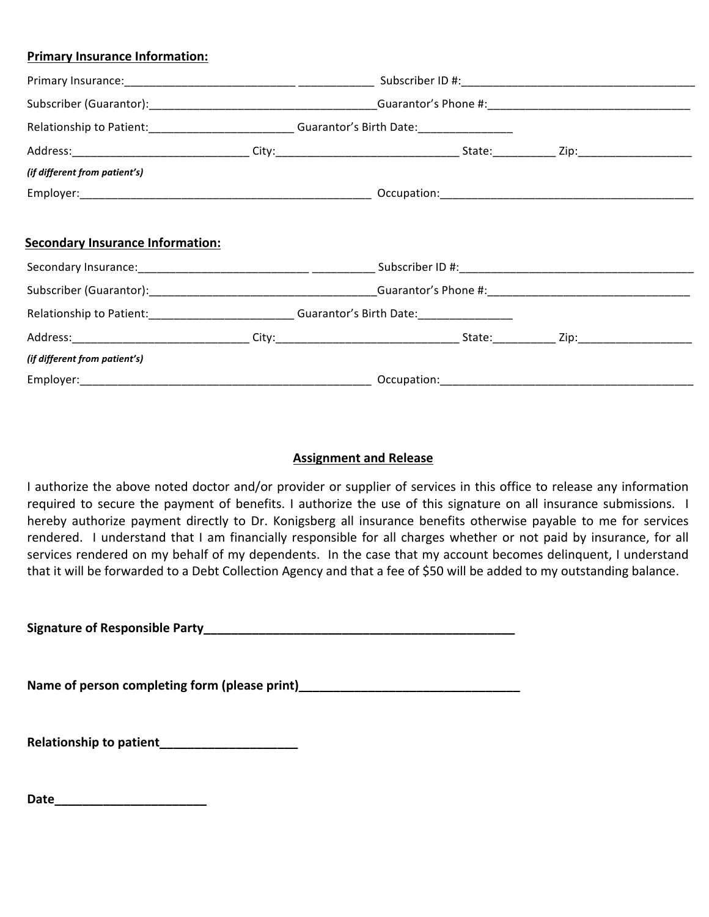## **Primary Insurance Information:**

|                                         | Relationship to Patient:___________________________Guarantor's Birth Date:_________________________ |  |  |
|-----------------------------------------|-----------------------------------------------------------------------------------------------------|--|--|
|                                         |                                                                                                     |  |  |
| (if different from patient's)           |                                                                                                     |  |  |
|                                         |                                                                                                     |  |  |
|                                         |                                                                                                     |  |  |
| <b>Secondary Insurance Information:</b> |                                                                                                     |  |  |
|                                         |                                                                                                     |  |  |
|                                         | Relationship to Patient:_____________________________Guarantor's Birth Date:_______________________ |  |  |
|                                         |                                                                                                     |  |  |
| (if different from patient's)           |                                                                                                     |  |  |
|                                         |                                                                                                     |  |  |

# **Assignment and Release**

I authorize the above noted doctor and/or provider or supplier of services in this office to release any information required to secure the payment of benefits. I authorize the use of this signature on all insurance submissions. I hereby authorize payment directly to Dr. Konigsberg all insurance benefits otherwise payable to me for services rendered. I understand that I am financially responsible for all charges whether or not paid by insurance, for all services rendered on my behalf of my dependents. In the case that my account becomes delinquent, I understand that it will be forwarded to a Debt Collection Agency and that a fee of \$50 will be added to my outstanding balance.

**Signature!of!Responsible!Party\_\_\_\_\_\_\_\_\_\_\_\_\_\_\_\_\_\_\_\_\_\_\_\_\_\_\_\_\_\_\_\_\_\_\_\_\_\_\_\_\_\_\_\_\_!**

**Name!of!person!completing!form!(please!print)\_\_\_\_\_\_\_\_\_\_\_\_\_\_\_\_\_\_\_\_\_\_\_\_\_\_\_\_\_\_\_\_!**

**Relationship!to!patient\_\_\_\_\_\_\_\_\_\_\_\_\_\_\_\_\_\_\_\_!**

**Date\_\_\_\_\_\_\_\_\_\_\_\_\_\_\_\_\_\_\_\_\_\_!**